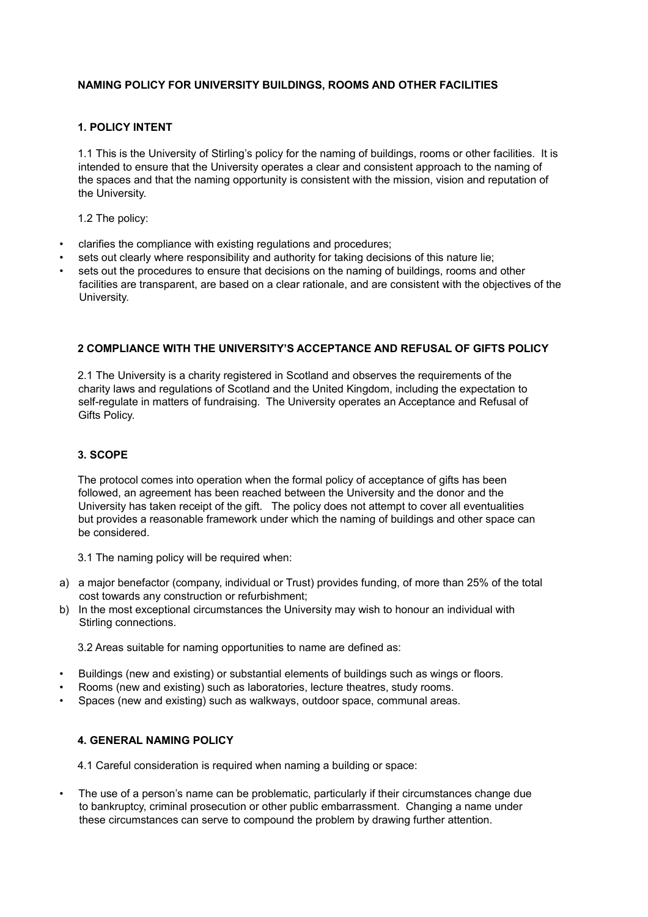# **NAMING POLICY FOR UNIVERSITY BUILDINGS, ROOMS AND OTHER FACILITIES**

## **1. POLICY INTENT**

1.1 This is the University of Stirling's policy for the naming of buildings, rooms or other facilities. It is intended to ensure that the University operates a clear and consistent approach to the naming of the spaces and that the naming opportunity is consistent with the mission, vision and reputation of the University.

1.2 The policy:

- clarifies the compliance with existing regulations and procedures;
- sets out clearly where responsibility and authority for taking decisions of this nature lie;
- sets out the procedures to ensure that decisions on the naming of buildings, rooms and other facilities are transparent, are based on a clear rationale, and are consistent with the objectives of the University.

#### **2 COMPLIANCE WITH THE UNIVERSITY'S ACCEPTANCE AND REFUSAL OF GIFTS POLICY**

2.1 The University is a charity registered in Scotland and observes the requirements of the charity laws and regulations of Scotland and the United Kingdom, including the expectation to self-regulate in matters of fundraising. The University operates an Acceptance and Refusal of Gifts Policy.

#### **3. SCOPE**

The protocol comes into operation when the formal policy of acceptance of gifts has been followed, an agreement has been reached between the University and the donor and the University has taken receipt of the gift. The policy does not attempt to cover all eventualities but provides a reasonable framework under which the naming of buildings and other space can be considered.

3.1 The naming policy will be required when:

- a) a major benefactor (company, individual or Trust) provides funding, of more than 25% of the total cost towards any construction or refurbishment;
- b) In the most exceptional circumstances the University may wish to honour an individual with Stirling connections.

3.2 Areas suitable for naming opportunities to name are defined as:

- Buildings (new and existing) or substantial elements of buildings such as wings or floors.
- Rooms (new and existing) such as laboratories, lecture theatres, study rooms.
- Spaces (new and existing) such as walkways, outdoor space, communal areas.

#### **4. GENERAL NAMING POLICY**

4.1 Careful consideration is required when naming a building or space:

• The use of a person's name can be problematic, particularly if their circumstances change due to bankruptcy, criminal prosecution or other public embarrassment. Changing a name under these circumstances can serve to compound the problem by drawing further attention.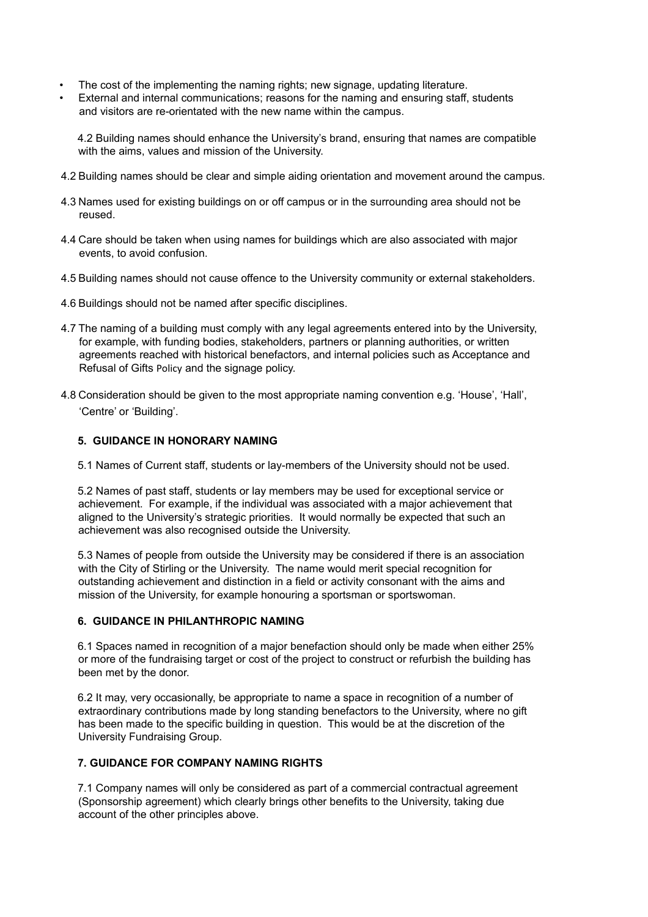- The cost of the implementing the naming rights; new signage, updating literature.
- External and internal communications; reasons for the naming and ensuring staff, students and visitors are re-orientated with the new name within the campus.

4.2 Building names should enhance the University's brand, ensuring that names are compatible with the aims, values and mission of the University.

- 4.2 Building names should be clear and simple aiding orientation and movement around the campus.
- 4.3 Names used for existing buildings on or off campus or in the surrounding area should not be reused.
- 4.4 Care should be taken when using names for buildings which are also associated with major events, to avoid confusion.
- 4.5 Building names should not cause offence to the University community or external stakeholders.
- 4.6 Buildings should not be named after specific disciplines.
- 4.7 The naming of a building must comply with any legal agreements entered into by the University, for example, with funding bodies, stakeholders, partners or planning authorities, or written agreements reached with historical benefactors, and internal policies such as Acceptance and Refusal of Gifts Policy and the signage policy.
- 4.8 Consideration should be given to the most appropriate naming convention e.g. 'House', 'Hall', 'Centre' or 'Building'.

## **5. GUIDANCE IN HONORARY NAMING**

5.1 Names of Current staff, students or lay-members of the University should not be used.

5.2 Names of past staff, students or lay members may be used for exceptional service or achievement. For example, if the individual was associated with a major achievement that aligned to the University's strategic priorities. It would normally be expected that such an achievement was also recognised outside the University.

5.3 Names of people from outside the University may be considered if there is an association with the City of Stirling or the University. The name would merit special recognition for outstanding achievement and distinction in a field or activity consonant with the aims and mission of the University, for example honouring a sportsman or sportswoman.

## **6. GUIDANCE IN PHILANTHROPIC NAMING**

6.1 Spaces named in recognition of a major benefaction should only be made when either 25% or more of the fundraising target or cost of the project to construct or refurbish the building has been met by the donor.

6.2 It may, very occasionally, be appropriate to name a space in recognition of a number of extraordinary contributions made by long standing benefactors to the University, where no gift has been made to the specific building in question. This would be at the discretion of the University Fundraising Group.

## **7. GUIDANCE FOR COMPANY NAMING RIGHTS**

7.1 Company names will only be considered as part of a commercial contractual agreement (Sponsorship agreement) which clearly brings other benefits to the University, taking due account of the other principles above.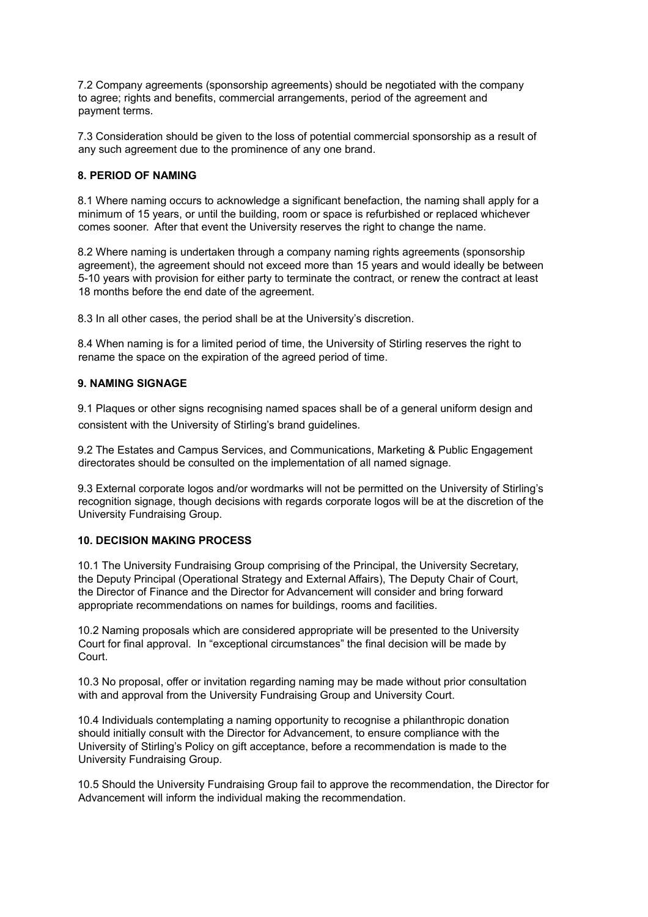7.2 Company agreements (sponsorship agreements) should be negotiated with the company to agree; rights and benefits, commercial arrangements, period of the agreement and payment terms.

7.3 Consideration should be given to the loss of potential commercial sponsorship as a result of any such agreement due to the prominence of any one brand.

## **8. PERIOD OF NAMING**

8.1 Where naming occurs to acknowledge a significant benefaction, the naming shall apply for a minimum of 15 years, or until the building, room or space is refurbished or replaced whichever comes sooner. After that event the University reserves the right to change the name.

8.2 Where naming is undertaken through a company naming rights agreements (sponsorship agreement), the agreement should not exceed more than 15 years and would ideally be between 5-10 years with provision for either party to terminate the contract, or renew the contract at least 18 months before the end date of the agreement.

8.3 In all other cases, the period shall be at the University's discretion.

8.4 When naming is for a limited period of time, the University of Stirling reserves the right to rename the space on the expiration of the agreed period of time.

## **9. NAMING SIGNAGE**

9.1 Plaques or other signs recognising named spaces shall be of a general uniform design and consistent with the University of Stirling's brand guidelines.

9.2 The Estates and Campus Services, and Communications, Marketing & Public Engagement directorates should be consulted on the implementation of all named signage.

9.3 External corporate logos and/or wordmarks will not be permitted on the University of Stirling's recognition signage, though decisions with regards corporate logos will be at the discretion of the University Fundraising Group.

## **10. DECISION MAKING PROCESS**

10.1 The University Fundraising Group comprising of the Principal, the University Secretary, the Deputy Principal (Operational Strategy and External Affairs), The Deputy Chair of Court, the Director of Finance and the Director for Advancement will consider and bring forward appropriate recommendations on names for buildings, rooms and facilities.

10.2 Naming proposals which are considered appropriate will be presented to the University Court for final approval. In "exceptional circumstances" the final decision will be made by Court.

10.3 No proposal, offer or invitation regarding naming may be made without prior consultation with and approval from the University Fundraising Group and University Court.

10.4 Individuals contemplating a naming opportunity to recognise a philanthropic donation should initially consult with the Director for Advancement, to ensure compliance with the University of Stirling's Policy on gift acceptance, before a recommendation is made to the University Fundraising Group.

10.5 Should the University Fundraising Group fail to approve the recommendation, the Director for Advancement will inform the individual making the recommendation.